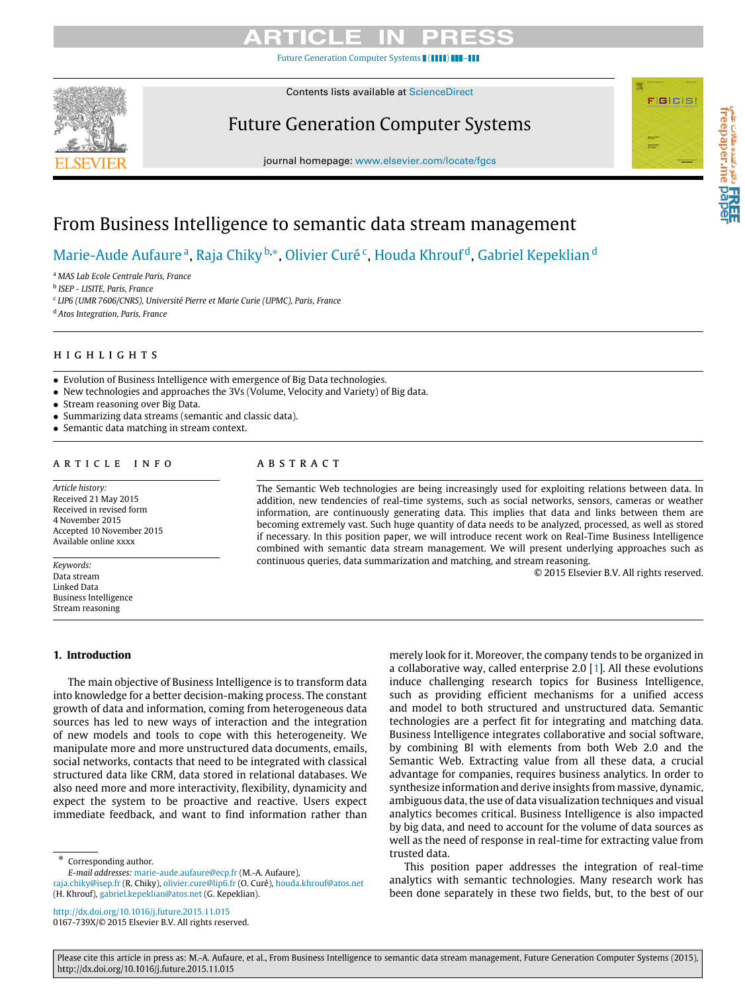[Future Generation Computer Systems](http://dx.doi.org/10.1016/j.future.2015.11.015) III



Contents lists available at [ScienceDirect](http://www.elsevier.com/locate/fgcs)

# Future Generation Computer Systems

journal homepage: [www.elsevier.com/locate/fgcs](http://www.elsevier.com/locate/fgcs)

# From Business Intelligence to semantic data stream management

## [Marie-Aude Aufaure](#page-7-0)ª, R[a](#page-0-0)ja Chiky <sup>b.</sup>\*, [Olivier Curé](#page-7-2)<sup>[c](#page-0-3)</sup>, [Houda Khrouf](#page-7-3)<sup>[d](#page-0-4)</sup>, [Gabriel Kepeklian](#page-7-4) <sup>d</sup>

<span id="page-0-0"></span><sup>a</sup> *MAS Lab Ecole Centrale Paris, France*

<span id="page-0-1"></span>b *ISEP - LISITE, Paris, France*

<span id="page-0-3"></span>c *LIP6 (UMR 7606/CNRS), Université Pierre et Marie Curie (UPMC), Paris, France*

<span id="page-0-4"></span><sup>d</sup> *Atos Integration, Paris, France*

### h i g h l i g h t s

- Evolution of Business Intelligence with emergence of Big Data technologies.
- New technologies and approaches the 3Vs (Volume, Velocity and Variety) of Big data.
- Stream reasoning over Big Data.
- Summarizing data streams (semantic and classic data).
- Semantic data matching in stream context.

### ARTICLE INFO

*Article history:* Received 21 May 2015 Received in revised form 4 November 2015 Accepted 10 November 2015 Available online xxxx

*Keywords:* Data stream Linked Data Business Intelligence Stream reasoning

### **1. Introduction**

The main objective of Business Intelligence is to transform data into knowledge for a better decision-making process. The constant growth of data and information, coming from heterogeneous data sources has led to new ways of interaction and the integration of new models and tools to cope with this heterogeneity. We manipulate more and more unstructured data documents, emails, social networks, contacts that need to be integrated with classical structured data like CRM, data stored in relational databases. We also need more and more interactivity, flexibility, dynamicity and expect the system to be proactive and reactive. Users expect immediate feedback, and want to find information rather than

<span id="page-0-2"></span>Corresponding author.

*E-mail addresses:* [marie-aude.aufaure@ecp.fr](mailto:marie-aude.aufaure@ecp.fr) (M.-A. Aufaure),

[raja.chiky@isep.fr](mailto:raja.chiky@isep.fr) (R. Chiky), [olivier.cure@lip6.fr](mailto:olivier.cure@lip6.fr) (O. Curé), [houda.khrouf@atos.net](mailto:houda.khrouf@atos.net) (H. Khrouf), [gabriel.kepeklian@atos.net](mailto:gabriel.kepeklian@atos.net) (G. Kepeklian).

<http://dx.doi.org/10.1016/j.future.2015.11.015> 0167-739X/© 2015 Elsevier B.V. All rights reserved.

### A B S T R A C T

The Semantic Web technologies are being increasingly used for exploiting relations between data. In addition, new tendencies of real-time systems, such as social networks, sensors, cameras or weather information, are continuously generating data. This implies that data and links between them are becoming extremely vast. Such huge quantity of data needs to be analyzed, processed, as well as stored if necessary. In this position paper, we will introduce recent work on Real-Time Business Intelligence combined with semantic data stream management. We will present underlying approaches such as continuous queries, data summarization and matching, and stream reasoning.

© 2015 Elsevier B.V. All rights reserved.

merely look for it. Moreover, the company tends to be organized in a collaborative way, called enterprise 2.0 [\[1\]](#page-6-0). All these evolutions induce challenging research topics for Business Intelligence, such as providing efficient mechanisms for a unified access and model to both structured and unstructured data. Semantic technologies are a perfect fit for integrating and matching data. Business Intelligence integrates collaborative and social software, by combining BI with elements from both Web 2.0 and the Semantic Web. Extracting value from all these data, a crucial advantage for companies, requires business analytics. In order to synthesize information and derive insights from massive, dynamic, ambiguous data, the use of data visualization techniques and visual analytics becomes critical. Business Intelligence is also impacted by big data, and need to account for the volume of data sources as well as the need of response in real-time for extracting value from trusted data.

This position paper addresses the integration of real-time analytics with semantic technologies. Many research work has been done separately in these two fields, but, to the best of our

FIBICIS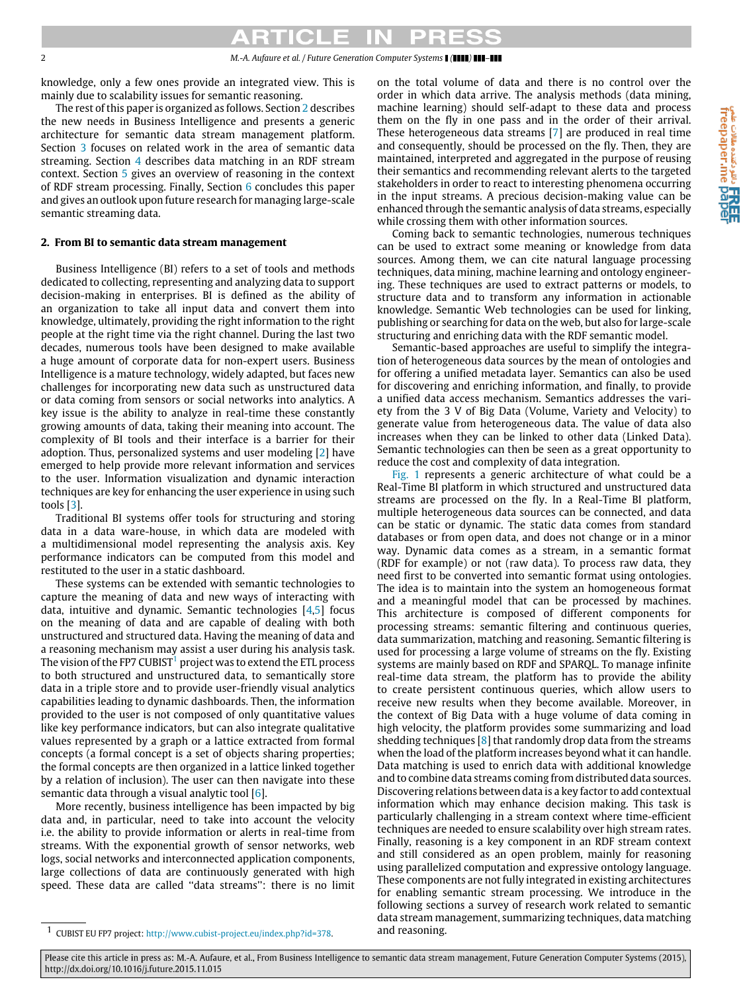# œ

#### 2 *M.-A. Aufaure et al. / Future Generation Computer Systems ( ) –*

knowledge, only a few ones provide an integrated view. This is mainly due to scalability issues for semantic reasoning.

The rest of this paper is organized as follows. Section [2](#page-1-0) describes the new needs in Business Intelligence and presents a generic architecture for semantic data stream management platform. Section [3](#page-2-0) focuses on related work in the area of semantic data streaming. Section [4](#page-3-0) describes data matching in an RDF stream context. Section [5](#page-4-0) gives an overview of reasoning in the context of RDF stream processing. Finally, Section [6](#page-6-1) concludes this paper and gives an outlook upon future research for managing large-scale semantic streaming data.

### <span id="page-1-0"></span>**2. From BI to semantic data stream management**

Business Intelligence (BI) refers to a set of tools and methods dedicated to collecting, representing and analyzing data to support decision-making in enterprises. BI is defined as the ability of an organization to take all input data and convert them into knowledge, ultimately, providing the right information to the right people at the right time via the right channel. During the last two decades, numerous tools have been designed to make available a huge amount of corporate data for non-expert users. Business Intelligence is a mature technology, widely adapted, but faces new challenges for incorporating new data such as unstructured data or data coming from sensors or social networks into analytics. A key issue is the ability to analyze in real-time these constantly growing amounts of data, taking their meaning into account. The complexity of BI tools and their interface is a barrier for their adoption. Thus, personalized systems and user modeling [\[2\]](#page-6-2) have emerged to help provide more relevant information and services to the user. Information visualization and dynamic interaction techniques are key for enhancing the user experience in using such tools [\[3\]](#page-6-3).

Traditional BI systems offer tools for structuring and storing data in a data ware-house, in which data are modeled with a multidimensional model representing the analysis axis. Key performance indicators can be computed from this model and restituted to the user in a static dashboard.

These systems can be extended with semantic technologies to capture the meaning of data and new ways of interacting with data, intuitive and dynamic. Semantic technologies [\[4,](#page-6-4)[5\]](#page-6-5) focus on the meaning of data and are capable of dealing with both unstructured and structured data. Having the meaning of data and a reasoning mechanism may assist a user during his analysis task. The vision of the FP7 CUBIST $<sup>1</sup>$  $<sup>1</sup>$  $<sup>1</sup>$  project was to extend the ETL process</sup> to both structured and unstructured data, to semantically store data in a triple store and to provide user-friendly visual analytics capabilities leading to dynamic dashboards. Then, the information provided to the user is not composed of only quantitative values like key performance indicators, but can also integrate qualitative values represented by a graph or a lattice extracted from formal concepts (a formal concept is a set of objects sharing properties; the formal concepts are then organized in a lattice linked together by a relation of inclusion). The user can then navigate into these semantic data through a visual analytic tool [\[6\]](#page-6-6).

More recently, business intelligence has been impacted by big data and, in particular, need to take into account the velocity i.e. the ability to provide information or alerts in real-time from streams. With the exponential growth of sensor networks, web logs, social networks and interconnected application components, large collections of data are continuously generated with high speed. These data are called ''data streams'': there is no limit

<span id="page-1-1"></span>1 CUBIST EU FP7 project: [http://www.cubist-project.eu/index.php?id=378.](http://www.cubist-project.eu/index.php?id=378)

on the total volume of data and there is no control over the order in which data arrive. The analysis methods (data mining, machine learning) should self-adapt to these data and process them on the fly in one pass and in the order of their arrival. These heterogeneous data streams [\[7\]](#page-6-7) are produced in real time and consequently, should be processed on the fly. Then, they are maintained, interpreted and aggregated in the purpose of reusing their semantics and recommending relevant alerts to the targeted stakeholders in order to react to interesting phenomena occurring in the input streams. A precious decision-making value can be enhanced through the semantic analysis of data streams, especially while crossing them with other information sources.

Coming back to semantic technologies, numerous techniques can be used to extract some meaning or knowledge from data sources. Among them, we can cite natural language processing techniques, data mining, machine learning and ontology engineering. These techniques are used to extract patterns or models, to structure data and to transform any information in actionable knowledge. Semantic Web technologies can be used for linking, publishing or searching for data on the web, but also for large-scale structuring and enriching data with the RDF semantic model.

Semantic-based approaches are useful to simplify the integration of heterogeneous data sources by the mean of ontologies and for offering a unified metadata layer. Semantics can also be used for discovering and enriching information, and finally, to provide a unified data access mechanism. Semantics addresses the variety from the 3 V of Big Data (Volume, Variety and Velocity) to generate value from heterogeneous data. The value of data also increases when they can be linked to other data (Linked Data). Semantic technologies can then be seen as a great opportunity to reduce the cost and complexity of data integration.

[Fig. 1](#page-2-1) represents a generic architecture of what could be a Real-Time BI platform in which structured and unstructured data streams are processed on the fly. In a Real-Time BI platform, multiple heterogeneous data sources can be connected, and data can be static or dynamic. The static data comes from standard databases or from open data, and does not change or in a minor way. Dynamic data comes as a stream, in a semantic format (RDF for example) or not (raw data). To process raw data, they need first to be converted into semantic format using ontologies. The idea is to maintain into the system an homogeneous format and a meaningful model that can be processed by machines. This architecture is composed of different components for processing streams: semantic filtering and continuous queries, data summarization, matching and reasoning. Semantic filtering is used for processing a large volume of streams on the fly. Existing systems are mainly based on RDF and SPARQL. To manage infinite real-time data stream, the platform has to provide the ability to create persistent continuous queries, which allow users to receive new results when they become available. Moreover, in the context of Big Data with a huge volume of data coming in high velocity, the platform provides some summarizing and load shedding techniques  $[8]$  that randomly drop data from the streams when the load of the platform increases beyond what it can handle. Data matching is used to enrich data with additional knowledge and to combine data streams coming from distributed data sources. Discovering relations between data is a key factor to add contextual information which may enhance decision making. This task is particularly challenging in a stream context where time-efficient techniques are needed to ensure scalability over high stream rates. Finally, reasoning is a key component in an RDF stream context and still considered as an open problem, mainly for reasoning using parallelized computation and expressive ontology language. These components are not fully integrated in existing architectures for enabling semantic stream processing. We introduce in the following sections a survey of research work related to semantic data stream management, summarizing techniques, data matching and reasoning.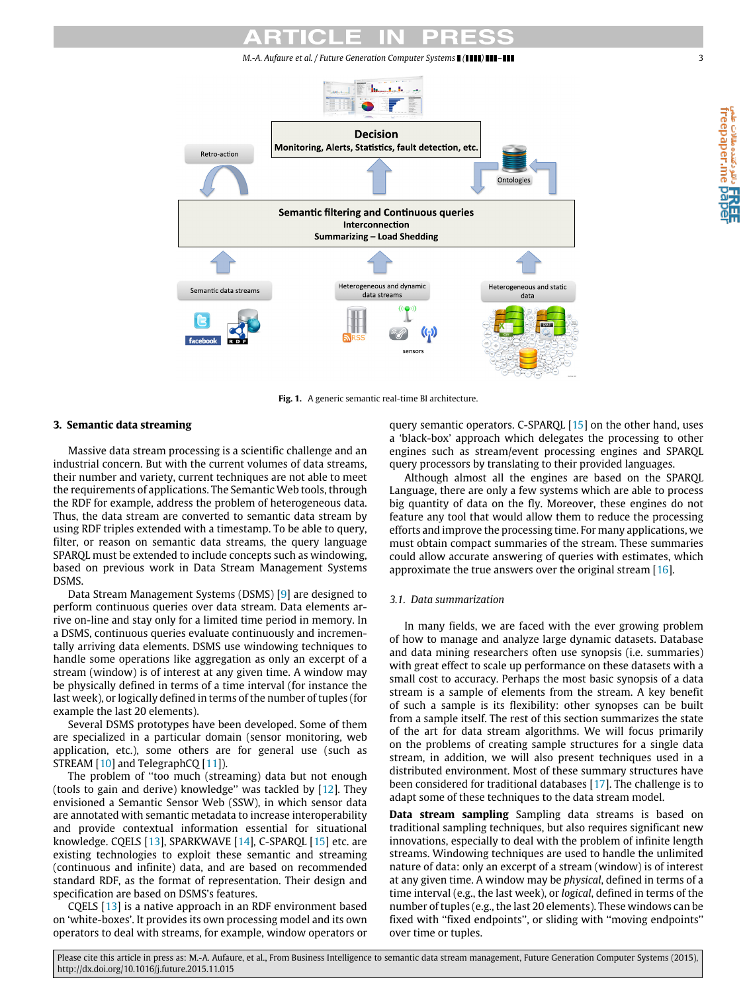<span id="page-2-1"></span>

Fig. 1. A generic semantic real-time BI architecture.

#### <span id="page-2-0"></span>**3. Semantic data streaming**

Massive data stream processing is a scientific challenge and an industrial concern. But with the current volumes of data streams, their number and variety, current techniques are not able to meet the requirements of applications. The Semantic Web tools, through the RDF for example, address the problem of heterogeneous data. Thus, the data stream are converted to semantic data stream by using RDF triples extended with a timestamp. To be able to query, filter, or reason on semantic data streams, the query language SPARQL must be extended to include concepts such as windowing, based on previous work in Data Stream Management Systems DSMS.

Data Stream Management Systems (DSMS) [\[9\]](#page-6-9) are designed to perform continuous queries over data stream. Data elements arrive on-line and stay only for a limited time period in memory. In a DSMS, continuous queries evaluate continuously and incrementally arriving data elements. DSMS use windowing techniques to handle some operations like aggregation as only an excerpt of a stream (window) is of interest at any given time. A window may be physically defined in terms of a time interval (for instance the last week), or logically defined in terms of the number of tuples (for example the last 20 elements).

Several DSMS prototypes have been developed. Some of them are specialized in a particular domain (sensor monitoring, web application, etc.), some others are for general use (such as STREAM [\[10\]](#page-6-10) and TelegraphCQ [\[11\]](#page-6-11)).

The problem of ''too much (streaming) data but not enough (tools to gain and derive) knowledge'' was tackled by [\[12\]](#page-6-12). They envisioned a Semantic Sensor Web (SSW), in which sensor data are annotated with semantic metadata to increase interoperability and provide contextual information essential for situational knowledge. CQELS [\[13\]](#page-6-13), SPARKWAVE [\[14\]](#page-6-14), C-SPARQL [\[15\]](#page-6-15) etc. are existing technologies to exploit these semantic and streaming (continuous and infinite) data, and are based on recommended standard RDF, as the format of representation. Their design and specification are based on DSMS's features.

CQELS [\[13\]](#page-6-13) is a native approach in an RDF environment based on 'white-boxes'. It provides its own processing model and its own operators to deal with streams, for example, window operators or query semantic operators. C-SPARQL [\[15\]](#page-6-15) on the other hand, uses a 'black-box' approach which delegates the processing to other engines such as stream/event processing engines and SPARQL query processors by translating to their provided languages.

Although almost all the engines are based on the SPARQL Language, there are only a few systems which are able to process big quantity of data on the fly. Moreover, these engines do not feature any tool that would allow them to reduce the processing efforts and improve the processing time. For many applications, we must obtain compact summaries of the stream. These summaries could allow accurate answering of queries with estimates, which approximate the true answers over the original stream [\[16\]](#page-6-16).

#### *3.1. Data summarization*

In many fields, we are faced with the ever growing problem of how to manage and analyze large dynamic datasets. Database and data mining researchers often use synopsis (i.e. summaries) with great effect to scale up performance on these datasets with a small cost to accuracy. Perhaps the most basic synopsis of a data stream is a sample of elements from the stream. A key benefit of such a sample is its flexibility: other synopses can be built from a sample itself. The rest of this section summarizes the state of the art for data stream algorithms. We will focus primarily on the problems of creating sample structures for a single data stream, in addition, we will also present techniques used in a distributed environment. Most of these summary structures have been considered for traditional databases [\[17\]](#page-6-17). The challenge is to adapt some of these techniques to the data stream model.

**Data stream sampling** Sampling data streams is based on traditional sampling techniques, but also requires significant new innovations, especially to deal with the problem of infinite length streams. Windowing techniques are used to handle the unlimited nature of data: only an excerpt of a stream (window) is of interest at any given time. A window may be *physical*, defined in terms of a time interval (e.g., the last week), or *logical*, defined in terms of the number of tuples (e.g., the last 20 elements). These windows can be fixed with ''fixed endpoints'', or sliding with ''moving endpoints'' over time or tuples.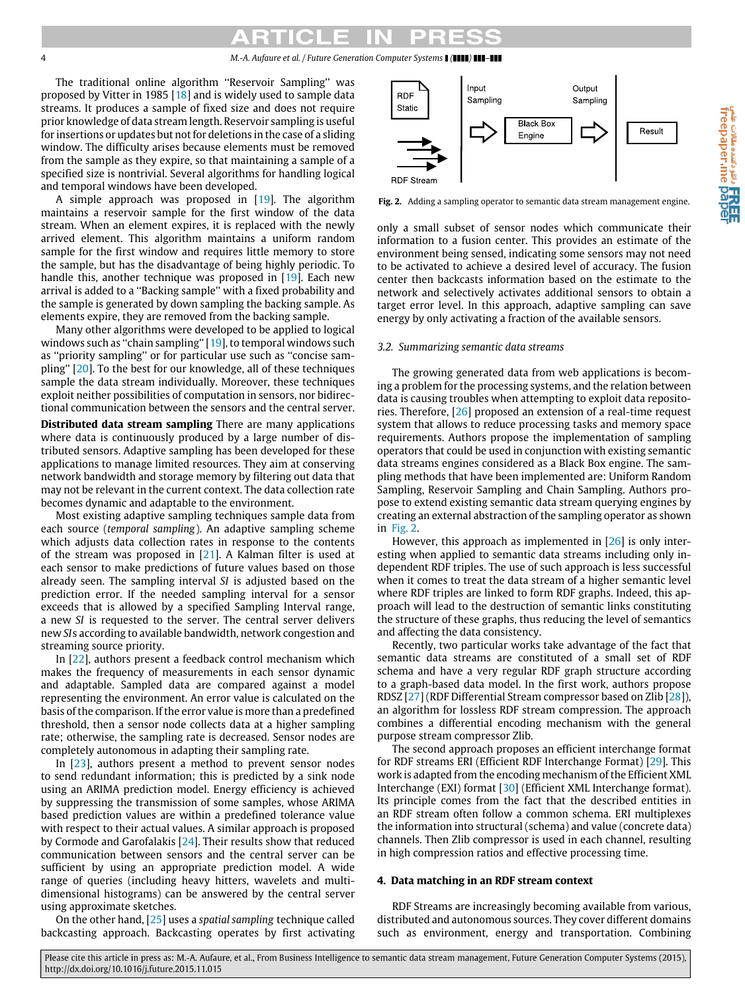## œ

The traditional online algorithm ''Reservoir Sampling'' was proposed by Vitter in 1985 [\[18\]](#page-6-18) and is widely used to sample data streams. It produces a sample of fixed size and does not require prior knowledge of data stream length. Reservoir sampling is useful for insertions or updates but not for deletions in the case of a sliding window. The difficulty arises because elements must be removed from the sample as they expire, so that maintaining a sample of a specified size is nontrivial. Several algorithms for handling logical and temporal windows have been developed.

A simple approach was proposed in [\[19\]](#page-6-19). The algorithm maintains a reservoir sample for the first window of the data stream. When an element expires, it is replaced with the newly arrived element. This algorithm maintains a uniform random sample for the first window and requires little memory to store the sample, but has the disadvantage of being highly periodic. To handle this, another technique was proposed in [\[19\]](#page-6-19). Each new arrival is added to a ''Backing sample'' with a fixed probability and the sample is generated by down sampling the backing sample. As elements expire, they are removed from the backing sample.

Many other algorithms were developed to be applied to logical windows such as "chain sampling" [\[19\]](#page-6-19), to temporal windows such as ''priority sampling'' or for particular use such as ''concise sampling'' [\[20\]](#page-6-20). To the best for our knowledge, all of these techniques sample the data stream individually. Moreover, these techniques exploit neither possibilities of computation in sensors, nor bidirectional communication between the sensors and the central server.

**Distributed data stream sampling** There are many applications where data is continuously produced by a large number of distributed sensors. Adaptive sampling has been developed for these applications to manage limited resources. They aim at conserving network bandwidth and storage memory by filtering out data that may not be relevant in the current context. The data collection rate becomes dynamic and adaptable to the environment.

Most existing adaptive sampling techniques sample data from each source (*temporal sampling*). An adaptive sampling scheme which adjusts data collection rates in response to the contents of the stream was proposed in [\[21\]](#page-6-21). A Kalman filter is used at each sensor to make predictions of future values based on those already seen. The sampling interval *SI* is adjusted based on the prediction error. If the needed sampling interval for a sensor exceeds that is allowed by a specified Sampling Interval range, a new *SI* is requested to the server. The central server delivers new *SI*s according to available bandwidth, network congestion and streaming source priority.

In [\[22\]](#page-6-22), authors present a feedback control mechanism which makes the frequency of measurements in each sensor dynamic and adaptable. Sampled data are compared against a model representing the environment. An error value is calculated on the basis of the comparison. If the error value is more than a predefined threshold, then a sensor node collects data at a higher sampling rate; otherwise, the sampling rate is decreased. Sensor nodes are completely autonomous in adapting their sampling rate.

In [\[23\]](#page-6-23), authors present a method to prevent sensor nodes to send redundant information; this is predicted by a sink node using an ARIMA prediction model. Energy efficiency is achieved by suppressing the transmission of some samples, whose ARIMA based prediction values are within a predefined tolerance value with respect to their actual values. A similar approach is proposed by Cormode and Garofalakis [\[24\]](#page-6-24). Their results show that reduced communication between sensors and the central server can be sufficient by using an appropriate prediction model. A wide range of queries (including heavy hitters, wavelets and multidimensional histograms) can be answered by the central server using approximate sketches.

On the other hand, [\[25\]](#page-6-25) uses a *spatial sampling* technique called backcasting approach. Backcasting operates by first activating

<span id="page-3-1"></span>

**Fig. 2.** Adding a sampling operator to semantic data stream management engine.

only a small subset of sensor nodes which communicate their information to a fusion center. This provides an estimate of the environment being sensed, indicating some sensors may not need to be activated to achieve a desired level of accuracy. The fusion center then backcasts information based on the estimate to the network and selectively activates additional sensors to obtain a target error level. In this approach, adaptive sampling can save energy by only activating a fraction of the available sensors.

#### *3.2. Summarizing semantic data streams*

The growing generated data from web applications is becoming a problem for the processing systems, and the relation between data is causing troubles when attempting to exploit data repositories. Therefore, [\[26\]](#page-6-26) proposed an extension of a real-time request system that allows to reduce processing tasks and memory space requirements. Authors propose the implementation of sampling operators that could be used in conjunction with existing semantic data streams engines considered as a Black Box engine. The sampling methods that have been implemented are: Uniform Random Sampling, Reservoir Sampling and Chain Sampling. Authors propose to extend existing semantic data stream querying engines by creating an external abstraction of the sampling operator as shown in [Fig. 2.](#page-3-1)

However, this approach as implemented in [\[26\]](#page-6-26) is only interesting when applied to semantic data streams including only independent RDF triples. The use of such approach is less successful when it comes to treat the data stream of a higher semantic level where RDF triples are linked to form RDF graphs. Indeed, this approach will lead to the destruction of semantic links constituting the structure of these graphs, thus reducing the level of semantics and affecting the data consistency.

Recently, two particular works take advantage of the fact that semantic data streams are constituted of a small set of RDF schema and have a very regular RDF graph structure according to a graph-based data model. In the first work, authors propose RDSZ [\[27\]](#page-6-27) (RDF Differential Stream compressor based on Zlib [\[28\]](#page-6-28)), an algorithm for lossless RDF stream compression. The approach combines a differential encoding mechanism with the general purpose stream compressor Zlib.

The second approach proposes an efficient interchange format for RDF streams ERI (Efficient RDF Interchange Format) [\[29\]](#page-6-29). This work is adapted from the encoding mechanism of the Efficient XML Interchange (EXI) format [\[30\]](#page-6-30) (Efficient XML Interchange format). Its principle comes from the fact that the described entities in an RDF stream often follow a common schema. ERI multiplexes the information into structural (schema) and value (concrete data) channels. Then Zlib compressor is used in each channel, resulting in high compression ratios and effective processing time.

#### <span id="page-3-0"></span>**4. Data matching in an RDF stream context**

RDF Streams are increasingly becoming available from various, distributed and autonomous sources. They cover different domains such as environment, energy and transportation. Combining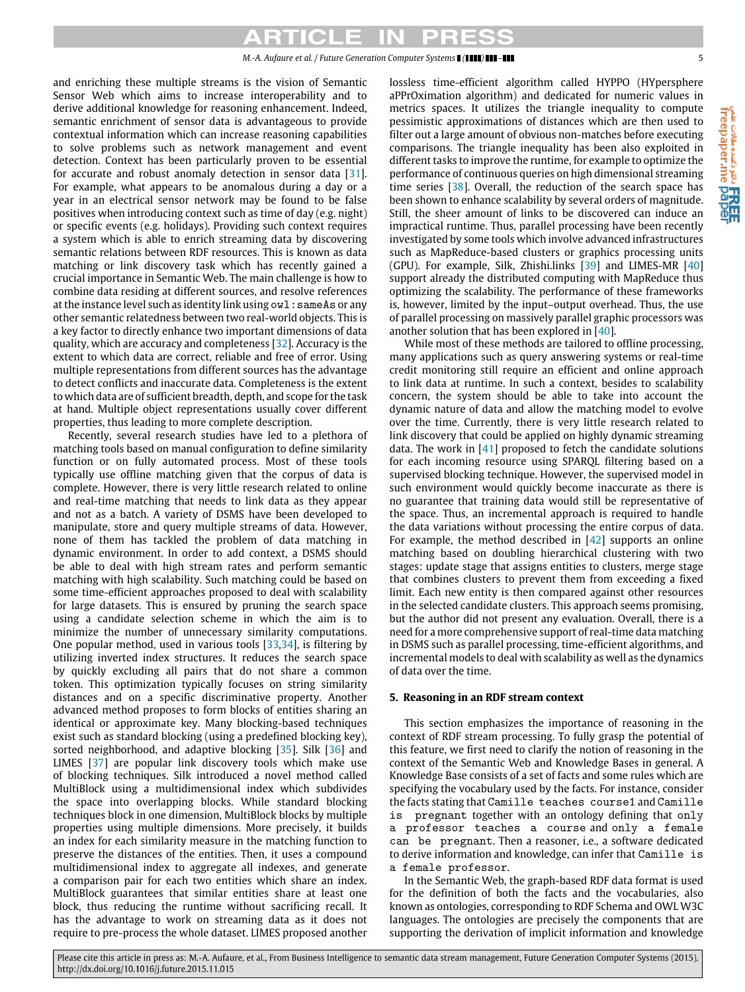and enriching these multiple streams is the vision of Semantic Sensor Web which aims to increase interoperability and to derive additional knowledge for reasoning enhancement. Indeed, semantic enrichment of sensor data is advantageous to provide contextual information which can increase reasoning capabilities to solve problems such as network management and event detection. Context has been particularly proven to be essential for accurate and robust anomaly detection in sensor data [\[31\]](#page-6-31). For example, what appears to be anomalous during a day or a year in an electrical sensor network may be found to be false positives when introducing context such as time of day (e.g. night) or specific events (e.g. holidays). Providing such context requires a system which is able to enrich streaming data by discovering semantic relations between RDF resources. This is known as data matching or link discovery task which has recently gained a crucial importance in Semantic Web. The main challenge is how to combine data residing at different sources, and resolve references at the instance level such as identity link using  $ow1:sameAs$  or any other semantic relatedness between two real-world objects. This is a key factor to directly enhance two important dimensions of data quality, which are accuracy and completeness [\[32\]](#page-6-32). Accuracy is the extent to which data are correct, reliable and free of error. Using multiple representations from different sources has the advantage to detect conflicts and inaccurate data. Completeness is the extent to which data are of sufficient breadth, depth, and scope for the task at hand. Multiple object representations usually cover different properties, thus leading to more complete description.

Recently, several research studies have led to a plethora of matching tools based on manual configuration to define similarity function or on fully automated process. Most of these tools typically use offline matching given that the corpus of data is complete. However, there is very little research related to online and real-time matching that needs to link data as they appear and not as a batch. A variety of DSMS have been developed to manipulate, store and query multiple streams of data. However, none of them has tackled the problem of data matching in dynamic environment. In order to add context, a DSMS should be able to deal with high stream rates and perform semantic matching with high scalability. Such matching could be based on some time-efficient approaches proposed to deal with scalability for large datasets. This is ensured by pruning the search space using a candidate selection scheme in which the aim is to minimize the number of unnecessary similarity computations. One popular method, used in various tools [\[33,](#page-6-33)[34\]](#page-6-34), is filtering by utilizing inverted index structures. It reduces the search space by quickly excluding all pairs that do not share a common token. This optimization typically focuses on string similarity distances and on a specific discriminative property. Another advanced method proposes to form blocks of entities sharing an identical or approximate key. Many blocking-based techniques exist such as standard blocking (using a predefined blocking key), sorted neighborhood, and adaptive blocking [\[35\]](#page-6-35). Silk [\[36\]](#page-7-5) and LIMES [\[37\]](#page-7-6) are popular link discovery tools which make use of blocking techniques. Silk introduced a novel method called MultiBlock using a multidimensional index which subdivides the space into overlapping blocks. While standard blocking techniques block in one dimension, MultiBlock blocks by multiple properties using multiple dimensions. More precisely, it builds an index for each similarity measure in the matching function to preserve the distances of the entities. Then, it uses a compound multidimensional index to aggregate all indexes, and generate a comparison pair for each two entities which share an index. MultiBlock guarantees that similar entities share at least one block, thus reducing the runtime without sacrificing recall. It has the advantage to work on streaming data as it does not require to pre-process the whole dataset. LIMES proposed another lossless time-efficient algorithm called HYPPO (HYpersphere aPPrOximation algorithm) and dedicated for numeric values in metrics spaces. It utilizes the triangle inequality to compute pessimistic approximations of distances which are then used to filter out a large amount of obvious non-matches before executing comparisons. The triangle inequality has been also exploited in different tasks to improve the runtime, for example to optimize the performance of continuous queries on high dimensional streaming time series [\[38\]](#page-7-7). Overall, the reduction of the search space has been shown to enhance scalability by several orders of magnitude. Still, the sheer amount of links to be discovered can induce an impractical runtime. Thus, parallel processing have been recently investigated by some tools which involve advanced infrastructures such as MapReduce-based clusters or graphics processing units (GPU). For example, Silk, Zhishi.links [\[39\]](#page-7-8) and LIMES-MR [\[40\]](#page-7-9) support already the distributed computing with MapReduce thus optimizing the scalability. The performance of these frameworks is, however, limited by the input–output overhead. Thus, the use of parallel processing on massively parallel graphic processors was another solution that has been explored in [\[40\]](#page-7-9).

While most of these methods are tailored to offline processing, many applications such as query answering systems or real-time credit monitoring still require an efficient and online approach to link data at runtime. In such a context, besides to scalability concern, the system should be able to take into account the dynamic nature of data and allow the matching model to evolve over the time. Currently, there is very little research related to link discovery that could be applied on highly dynamic streaming data. The work in  $[41]$  proposed to fetch the candidate solutions for each incoming resource using SPARQL filtering based on a supervised blocking technique. However, the supervised model in such environment would quickly become inaccurate as there is no guarantee that training data would still be representative of the space. Thus, an incremental approach is required to handle the data variations without processing the entire corpus of data. For example, the method described in  $[42]$  supports an online matching based on doubling hierarchical clustering with two stages: update stage that assigns entities to clusters, merge stage that combines clusters to prevent them from exceeding a fixed limit. Each new entity is then compared against other resources in the selected candidate clusters. This approach seems promising, but the author did not present any evaluation. Overall, there is a need for a more comprehensive support of real-time data matching in DSMS such as parallel processing, time-efficient algorithms, and incremental models to deal with scalability as well as the dynamics of data over the time.

#### <span id="page-4-0"></span>**5. Reasoning in an RDF stream context**

This section emphasizes the importance of reasoning in the context of RDF stream processing. To fully grasp the potential of this feature, we first need to clarify the notion of reasoning in the context of the Semantic Web and Knowledge Bases in general. A Knowledge Base consists of a set of facts and some rules which are specifying the vocabulary used by the facts. For instance, consider the facts stating that Camille teaches course1 and Camille is pregnant together with an ontology defining that only a professor teaches a course and only a female can be pregnant. Then a reasoner, i.e., a software dedicated to derive information and knowledge, can infer that Camille is a female professor.

In the Semantic Web, the graph-based RDF data format is used for the definition of both the facts and the vocabularies, also known as ontologies, corresponding to RDF Schema and OWL W3C languages. The ontologies are precisely the components that are supporting the derivation of implicit information and knowledge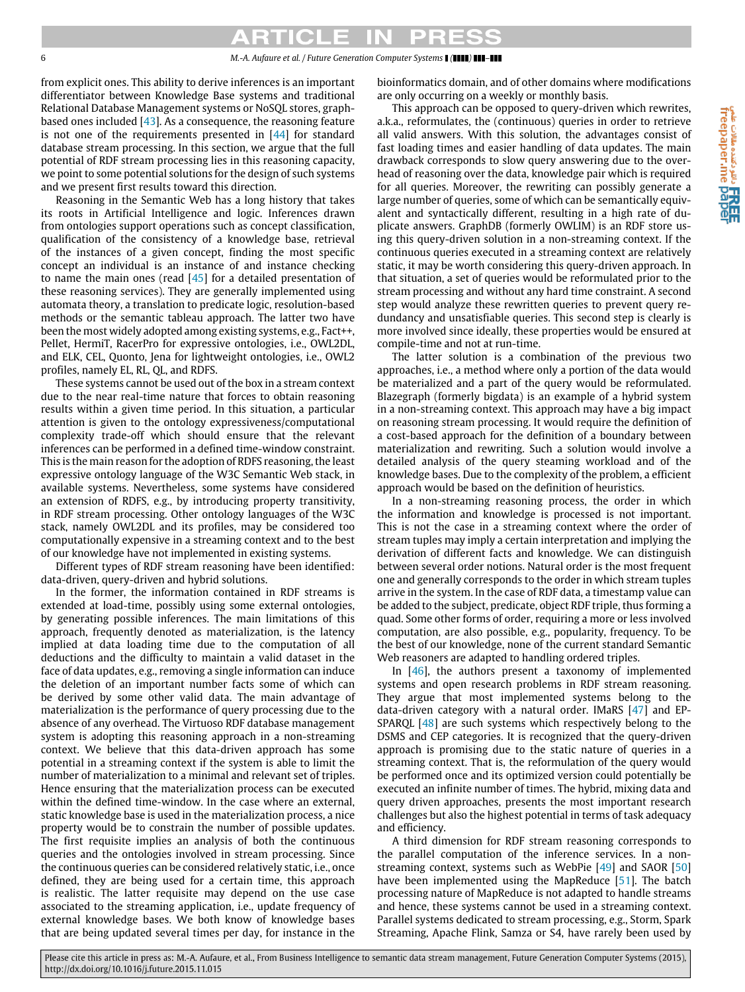from explicit ones. This ability to derive inferences is an important differentiator between Knowledge Base systems and traditional Relational Database Management systems or NoSQL stores, graphbased ones included [\[43\]](#page-7-12). As a consequence, the reasoning feature is not one of the requirements presented in  $[44]$  for standard database stream processing. In this section, we argue that the full potential of RDF stream processing lies in this reasoning capacity, we point to some potential solutions for the design of such systems and we present first results toward this direction.

Reasoning in the Semantic Web has a long history that takes its roots in Artificial Intelligence and logic. Inferences drawn from ontologies support operations such as concept classification, qualification of the consistency of a knowledge base, retrieval of the instances of a given concept, finding the most specific concept an individual is an instance of and instance checking to name the main ones (read [\[45\]](#page-7-14) for a detailed presentation of these reasoning services). They are generally implemented using automata theory, a translation to predicate logic, resolution-based methods or the semantic tableau approach. The latter two have been the most widely adopted among existing systems, e.g., Fact++, Pellet, HermiT, RacerPro for expressive ontologies, i.e., OWL2DL, and ELK, CEL, Quonto, Jena for lightweight ontologies, i.e., OWL2 profiles, namely EL, RL, QL, and RDFS.

These systems cannot be used out of the box in a stream context due to the near real-time nature that forces to obtain reasoning results within a given time period. In this situation, a particular attention is given to the ontology expressiveness/computational complexity trade-off which should ensure that the relevant inferences can be performed in a defined time-window constraint. This is the main reason for the adoption of RDFS reasoning, the least expressive ontology language of the W3C Semantic Web stack, in available systems. Nevertheless, some systems have considered an extension of RDFS, e.g., by introducing property transitivity, in RDF stream processing. Other ontology languages of the W3C stack, namely OWL2DL and its profiles, may be considered too computationally expensive in a streaming context and to the best of our knowledge have not implemented in existing systems.

Different types of RDF stream reasoning have been identified: data-driven, query-driven and hybrid solutions.

In the former, the information contained in RDF streams is extended at load-time, possibly using some external ontologies, by generating possible inferences. The main limitations of this approach, frequently denoted as materialization, is the latency implied at data loading time due to the computation of all deductions and the difficulty to maintain a valid dataset in the face of data updates, e.g., removing a single information can induce the deletion of an important number facts some of which can be derived by some other valid data. The main advantage of materialization is the performance of query processing due to the absence of any overhead. The Virtuoso RDF database management system is adopting this reasoning approach in a non-streaming context. We believe that this data-driven approach has some potential in a streaming context if the system is able to limit the number of materialization to a minimal and relevant set of triples. Hence ensuring that the materialization process can be executed within the defined time-window. In the case where an external, static knowledge base is used in the materialization process, a nice property would be to constrain the number of possible updates. The first requisite implies an analysis of both the continuous queries and the ontologies involved in stream processing. Since the continuous queries can be considered relatively static, i.e., once defined, they are being used for a certain time, this approach is realistic. The latter requisite may depend on the use case associated to the streaming application, i.e., update frequency of external knowledge bases. We both know of knowledge bases that are being updated several times per day, for instance in the bioinformatics domain, and of other domains where modifications are only occurring on a weekly or monthly basis.

This approach can be opposed to query-driven which rewrites, a.k.a., reformulates, the (continuous) queries in order to retrieve all valid answers. With this solution, the advantages consist of fast loading times and easier handling of data updates. The main drawback corresponds to slow query answering due to the overhead of reasoning over the data, knowledge pair which is required for all queries. Moreover, the rewriting can possibly generate a large number of queries, some of which can be semantically equivalent and syntactically different, resulting in a high rate of duplicate answers. GraphDB (formerly OWLIM) is an RDF store using this query-driven solution in a non-streaming context. If the continuous queries executed in a streaming context are relatively static, it may be worth considering this query-driven approach. In that situation, a set of queries would be reformulated prior to the stream processing and without any hard time constraint. A second step would analyze these rewritten queries to prevent query redundancy and unsatisfiable queries. This second step is clearly is more involved since ideally, these properties would be ensured at compile-time and not at run-time.

The latter solution is a combination of the previous two approaches, i.e., a method where only a portion of the data would be materialized and a part of the query would be reformulated. Blazegraph (formerly bigdata) is an example of a hybrid system in a non-streaming context. This approach may have a big impact on reasoning stream processing. It would require the definition of a cost-based approach for the definition of a boundary between materialization and rewriting. Such a solution would involve a detailed analysis of the query steaming workload and of the knowledge bases. Due to the complexity of the problem, a efficient approach would be based on the definition of heuristics.

In a non-streaming reasoning process, the order in which the information and knowledge is processed is not important. This is not the case in a streaming context where the order of stream tuples may imply a certain interpretation and implying the derivation of different facts and knowledge. We can distinguish between several order notions. Natural order is the most frequent one and generally corresponds to the order in which stream tuples arrive in the system. In the case of RDF data, a timestamp value can be added to the subject, predicate, object RDF triple, thus forming a quad. Some other forms of order, requiring a more or less involved computation, are also possible, e.g., popularity, frequency. To be the best of our knowledge, none of the current standard Semantic Web reasoners are adapted to handling ordered triples.

In [\[46\]](#page-7-15), the authors present a taxonomy of implemented systems and open research problems in RDF stream reasoning. They argue that most implemented systems belong to the data-driven category with a natural order. IMaRS [\[47\]](#page-7-16) and EP-SPARQL [\[48\]](#page-7-17) are such systems which respectively belong to the DSMS and CEP categories. It is recognized that the query-driven approach is promising due to the static nature of queries in a streaming context. That is, the reformulation of the query would be performed once and its optimized version could potentially be executed an infinite number of times. The hybrid, mixing data and query driven approaches, presents the most important research challenges but also the highest potential in terms of task adequacy and efficiency.

A third dimension for RDF stream reasoning corresponds to the parallel computation of the inference services. In a nonstreaming context, systems such as WebPie [\[49\]](#page-7-18) and SAOR [\[50\]](#page-7-19) have been implemented using the MapReduce [\[51\]](#page-7-20). The batch processing nature of MapReduce is not adapted to handle streams and hence, these systems cannot be used in a streaming context. Parallel systems dedicated to stream processing, e.g., Storm, Spark Streaming, Apache Flink, Samza or S4, have rarely been used by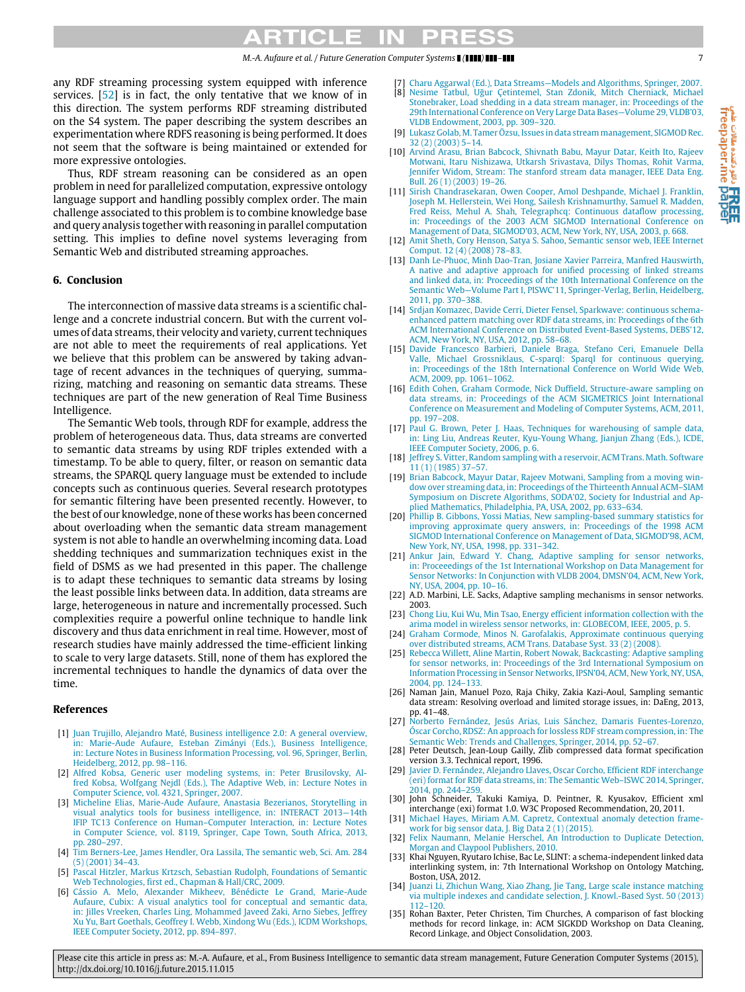*M.-A. Aufaure et al. / Future Generation Computer Systems ( ) –* 7

any RDF streaming processing system equipped with inference services. [\[52\]](#page-7-21) is in fact, the only tentative that we know of in this direction. The system performs RDF streaming distributed on the S4 system. The paper describing the system describes an experimentation where RDFS reasoning is being performed. It does not seem that the software is being maintained or extended for more expressive ontologies.

Thus, RDF stream reasoning can be considered as an open problem in need for parallelized computation, expressive ontology language support and handling possibly complex order. The main challenge associated to this problem is to combine knowledge base and query analysis together with reasoning in parallel computation setting. This implies to define novel systems leveraging from Semantic Web and distributed streaming approaches.

### <span id="page-6-1"></span>**6. Conclusion**

The interconnection of massive data streams is a scientific challenge and a concrete industrial concern. But with the current volumes of data streams, their velocity and variety, current techniques are not able to meet the requirements of real applications. Yet we believe that this problem can be answered by taking advantage of recent advances in the techniques of querying, summarizing, matching and reasoning on semantic data streams. These techniques are part of the new generation of Real Time Business Intelligence.

The Semantic Web tools, through RDF for example, address the problem of heterogeneous data. Thus, data streams are converted to semantic data streams by using RDF triples extended with a timestamp. To be able to query, filter, or reason on semantic data streams, the SPARQL query language must be extended to include concepts such as continuous queries. Several research prototypes for semantic filtering have been presented recently. However, to the best of our knowledge, none of these works has been concerned about overloading when the semantic data stream management system is not able to handle an overwhelming incoming data. Load shedding techniques and summarization techniques exist in the field of DSMS as we had presented in this paper. The challenge is to adapt these techniques to semantic data streams by losing the least possible links between data. In addition, data streams are large, heterogeneous in nature and incrementally processed. Such complexities require a powerful online technique to handle link discovery and thus data enrichment in real time. However, most of research studies have mainly addressed the time-efficient linking to scale to very large datasets. Still, none of them has explored the incremental techniques to handle the dynamics of data over the time.

#### **References**

- <span id="page-6-0"></span>[1] Jua[n Trujillo, Alejandro Maté, Business intelligence 2.0: A general overview,](http://refhub.elsevier.com/S0167-739X(15)00363-5/sbref1) in: Marie-Aude Aufaure, Esteban Zimányi (Eds.), Business Intelligence, in: Lecture Notes in Business Information Processing, vol. 96, Springer, Berlin, Heidelberg, 2012, pp. 98–116.
- <span id="page-6-2"></span>[2] Alf[red Kobsa, Generic user modeling systems, in: Peter Brusilovsky, Al](http://refhub.elsevier.com/S0167-739X(15)00363-5/sbref2)fred Kobsa, Wolfgang Nejdl (Eds.), The Adaptive Web, in: Lecture Notes in Computer Science, vol. 4321, Springer, 2007.
- <span id="page-6-3"></span>[3] Mi[cheline Elias, Marie-Aude Aufaure, Anastasia Bezerianos, Storytelling in](http://refhub.elsevier.com/S0167-739X(15)00363-5/sbref3) visual analytics tools for business intelligence, in: INTERACT 2013—14th IFIP TC13 Conference on Human–Computer Interaction, in: Lecture Notes in Computer Science, vol. 8119, Springer, Cape Town, South Africa, 2013, pp. 280–297.
- <span id="page-6-4"></span>[4] Ti[m Berners-Lee, James Hendler, Ora Lassila, The semantic web, Sci. Am. 284](http://refhub.elsevier.com/S0167-739X(15)00363-5/sbref4) (5) (2001) 34–43.
- <span id="page-6-5"></span>[5] Pas[cal Hitzler, Markus Krtzsch, Sebastian Rudolph, Foundations of Semantic](http://refhub.elsevier.com/S0167-739X(15)00363-5/sbref5) Web Technologies, first ed., Chapman & Hall/CRC, 2009.
- <span id="page-6-6"></span>[6] Cás[sio A. Melo, Alexander Mikheev, Bénédicte Le Grand, Marie-Aude](http://refhub.elsevier.com/S0167-739X(15)00363-5/sbref6) Aufaure, Cubix: A visual analytics tool for conceptual and semantic data, in: Jilles Vreeken, Charles Ling, Mohammed Javeed Zaki, Arno Siebes, Jeffrey Xu Yu, Bart Goethals, Geoffrey I. Webb, Xindong Wu (Eds.), ICDM Workshops, IEEE Computer Society, 2012, pp. 894–897.
- <span id="page-6-8"></span><span id="page-6-7"></span>[7] Ch[aru Aggarwal \(Ed.\), Data Streams—Models and Algorithms, Springer, 2007.](http://refhub.elsevier.com/S0167-739X(15)00363-5/sbref7) [8] Ne[sime Tatbul, Uğur Çetintemel, Stan Zdonik, Mitch Cherniack, Michael](http://refhub.elsevier.com/S0167-739X(15)00363-5/sbref8) Stonebraker, Load shedding in a data stream manager, in: Proceedings of the
- 29th International Conference on Very Large Data Bases—Volume 29, VLDB'03, VLDB Endowment, 2003, pp. 309–320. [9] Lu[kasz Golab, M. Tamer Özsu, Issues in data stream management, SIGMOD Rec.](http://refhub.elsevier.com/S0167-739X(15)00363-5/sbref9)
- <span id="page-6-9"></span>32 (2) (2003) 5–14. [10] Ar[vind Arasu, Brian Babcock, Shivnath Babu, Mayur Datar, Keith Ito, Rajeev](http://refhub.elsevier.com/S0167-739X(15)00363-5/sbref10)
- <span id="page-6-10"></span>Motwani, Itaru Nishizawa, Utkarsh Srivastava, Dilys Thomas, Rohit Varma, Jennifer Widom, Stream: The stanford stream data manager, IEEE Data Eng. Bull. 26 (1) (2003) 19–26.
- <span id="page-6-11"></span>[11] Siri[sh Chandrasekaran, Owen Cooper, Amol Deshpande, Michael J. Franklin,](http://refhub.elsevier.com/S0167-739X(15)00363-5/sbref11) Joseph M. Hellerstein, Wei Hong, Sailesh Krishnamurthy, Samuel R. Madden, Fred Reiss, Mehul A. Shah, Telegraphcq: Continuous dataflow processing, in: Proceedings of the 2003 ACM SIGMOD International Conference on Management of Data, SIGMOD'03, ACM, New York, NY, USA, 2003, p. 668.
- <span id="page-6-12"></span>[12] Am[it Sheth, Cory Henson, Satya S. Sahoo, Semantic sensor web, IEEE Internet](http://refhub.elsevier.com/S0167-739X(15)00363-5/sbref12) Comput. 12 (4) (2008) 78–83.
- <span id="page-6-13"></span>[13] Da[nh Le-Phuoc, Minh Dao-Tran, Josiane Xavier Parreira, Manfred Hauswirth,](http://refhub.elsevier.com/S0167-739X(15)00363-5/sbref13) A native and adaptive approach for unified processing of linked streams and linked data, in: Proceedings of the 10th International Conference on the Semantic Web—Volume Part I, PISWC'11, Springer-Verlag, Berlin, Heidelberg, 2011, pp. 370–388.
- <span id="page-6-14"></span>[14] Srd[jan Komazec, Davide Cerri, Dieter Fensel, Sparkwave: continuous schema](http://refhub.elsevier.com/S0167-739X(15)00363-5/sbref14)enhanced pattern matching over RDF data streams, in: Proceedings of the 6th ACM International Conference on Distributed Event-Based Systems, DEBS'12, ACM, New York, NY, USA, 2012, pp. 58–68.
- <span id="page-6-15"></span>[15] Da[vide Francesco Barbieri, Daniele Braga, Stefano Ceri, Emanuele Della](http://refhub.elsevier.com/S0167-739X(15)00363-5/sbref15) Valle, Michael Grossniklaus, C-sparql: Sparql for continuous querying, in: Proceedings of the 18th International Conference on World Wide Web, ACM, 2009, pp. 1061–1062.
- <span id="page-6-16"></span>[16] Edi[th Cohen, Graham Cormode, Nick Duffield, Structure-aware sampling on](http://refhub.elsevier.com/S0167-739X(15)00363-5/sbref16) data streams, in: Proceedings of the ACM SIGMETRICS Joint International Conference on Measurement and Modeling of Computer Systems, ACM, 2011, pp. 197–208.
- <span id="page-6-17"></span>[17] Pa[ul G. Brown, Peter J. Haas, Techniques for warehousing of sample data,](http://refhub.elsevier.com/S0167-739X(15)00363-5/sbref17) in: Ling Liu, Andreas Reuter, Kyu-Young Whang, Jianjun Zhang (Eds.), ICDE, IEEE Computer Society, 2006, p. 6.
- <span id="page-6-18"></span>[18] Jeff[rey S. Vitter, Random sampling with a reservoir, ACM Trans. Math. Software](http://refhub.elsevier.com/S0167-739X(15)00363-5/sbref18) 11 (1) (1985) 37–57.
- <span id="page-6-19"></span>[19] Bri[an Babcock, Mayur Datar, Rajeev Motwani, Sampling from a moving win](http://refhub.elsevier.com/S0167-739X(15)00363-5/sbref19)dow over streaming data, in: Proceedings of the Thirteenth Annual ACM–SIAM Symposium on Discrete Algorithms, SODA'02, Society for Industrial and Applied Mathematics, Philadelphia, PA, USA, 2002, pp. 633–634.
- <span id="page-6-20"></span>[20] Phi[llip B. Gibbons, Yossi Matias, New sampling-based summary statistics for](http://refhub.elsevier.com/S0167-739X(15)00363-5/sbref20) improving approximate query answers, in: Proceedings of the 1998 ACM SIGMOD International Conference on Management of Data, SIGMOD'98, ACM, New York, NY, USA, 1998, pp. 331–342.
- <span id="page-6-21"></span>[21] An[kur Jain, Edward Y. Chang, Adaptive sampling for sensor networks,](http://refhub.elsevier.com/S0167-739X(15)00363-5/sbref21) in: Proceeedings of the 1st International Workshop on Data Management for Sensor Networks: In Conjunction with VLDB 2004, DMSN'04, ACM, New York,
- <span id="page-6-22"></span>NY, USA, 2004, pp. 10–16. [22] A.D. Marbini, L.E. Sacks, Adaptive sampling mechanisms in sensor networks. 2003.
- <span id="page-6-23"></span>[23] Ch[ong Liu, Kui Wu, Min Tsao, Energy efficient information collection with the](http://refhub.elsevier.com/S0167-739X(15)00363-5/sbref23) arima model in wireless sensor networks, in: GLOBECOM, IEEE, 2005, p. 5.
- <span id="page-6-24"></span>[24] Gr[aham Cormode, Minos N. Garofalakis, Approximate continuous querying](http://refhub.elsevier.com/S0167-739X(15)00363-5/sbref24) over distributed streams, ACM Trans. Database Syst. 33 (2) (2008).
- <span id="page-6-25"></span>[25] Re[becca Willett, Aline Martin, Robert Nowak, Backcasting: Adaptive sampling](http://refhub.elsevier.com/S0167-739X(15)00363-5/sbref25) for sensor networks, in: Proceedings of the 3rd International Symposium on Information Processing in Sensor Networks, IPSN'04, ACM, New York, NY, USA, 2004, pp. 124–133.
- <span id="page-6-26"></span>[26] Naman Jain, Manuel Pozo, Raja Chiky, Zakia Kazi-Aoul, Sampling semantic data stream: Resolving overload and limited storage issues, in: DaEng, 2013, pp. 41–48.
- <span id="page-6-27"></span>[27] No[rberto Fernández, Jesús Arias, Luis Sánchez, Damaris Fuentes-Lorenzo,](http://refhub.elsevier.com/S0167-739X(15)00363-5/sbref27) Óscar Corcho, RDSZ: An approach for lossless RDF stream compression, in: The Semantic Web: Trends and Challenges, Springer, 2014, pp. 52–67.
- <span id="page-6-28"></span>[28] Peter Deutsch, Jean-Loup Gailly, Zlib compressed data format specification version 3.3. Technical report, 1996.
- <span id="page-6-29"></span>[29] Jav[ier D. Fernández, Alejandro Llaves, Oscar Corcho, Efficient RDF interchange](http://refhub.elsevier.com/S0167-739X(15)00363-5/sbref29) (eri) format for RDF data streams, in: The Semantic Web–ISWC 2014, Springer,
- <span id="page-6-30"></span>2014, pp. 244–259. [30] John Schneider, Takuki Kamiya, D. Peintner, R. Kyusakov, Efficient xml interchange (exi) format 1.0. W3C Proposed Recommendation, 20, 2011.
- <span id="page-6-31"></span>[31] Mi[chael Hayes, Miriam A.M. Capretz, Contextual anomaly detection frame](http://refhub.elsevier.com/S0167-739X(15)00363-5/sbref31)work for big sensor data, J. Big Data 2 (1) (2015).
- <span id="page-6-32"></span>[32] Fel[ix Naumann, Melanie Herschel, An Introduction to Duplicate Detection,](http://refhub.elsevier.com/S0167-739X(15)00363-5/sbref32) Morgan and Claypool Publishers, 2010.
- <span id="page-6-33"></span>[33] Khai Nguyen, Ryutaro Ichise, Bac Le, SLINT: a schema-independent linked data interlinking system, in: 7th International Workshop on Ontology Matching, Boston, USA, 2012.
- <span id="page-6-34"></span>[34] Jua[nzi Li, Zhichun Wang, Xiao Zhang, Jie Tang, Large scale instance matching](http://refhub.elsevier.com/S0167-739X(15)00363-5/sbref34) via multiple indexes and candidate selection, J. Knowl.-Based Syst. 50 (2013)
- <span id="page-6-35"></span>112–120. [35] Rohan Baxter, Peter Christen, Tim Churches, A comparison of fast blocking methods for record linkage, in: ACM SIGKDD Workshop on Data Cleaning, Record Linkage, and Object Consolidation, 2003.